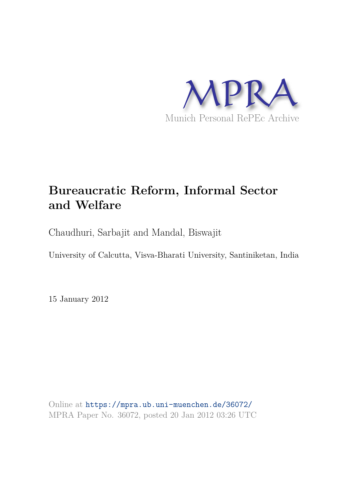

# **Bureaucratic Reform, Informal Sector and Welfare**

Chaudhuri, Sarbajit and Mandal, Biswajit

University of Calcutta, Visva-Bharati University, Santiniketan, India

15 January 2012

Online at https://mpra.ub.uni-muenchen.de/36072/ MPRA Paper No. 36072, posted 20 Jan 2012 03:26 UTC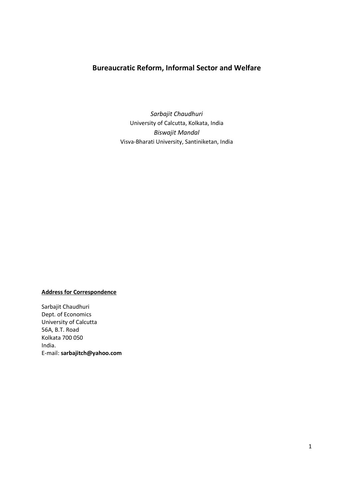# **Bureaucratic Reform, Informal Sector and Welfare**

*Sarbajit Chaudhuri*  University of Calcutta, Kolkata, India *Biswajit Mandal*  Visva-Bharati University, Santiniketan, India

# **Address for Correspondence**

Sarbajit Chaudhuri Dept. of Economics University of Calcutta 56A, B.T. Road Kolkata 700 050 India. E-mail: **sarbajitch@yahoo.com**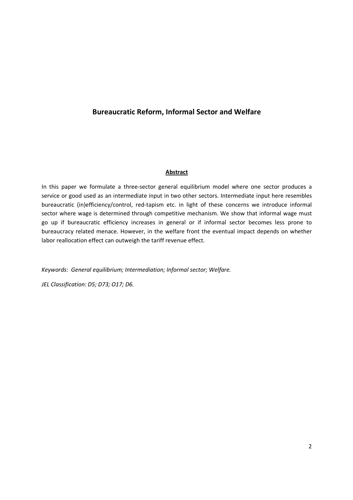# **Bureaucratic Reform, Informal Sector and Welfare**

# **Abstract**

In this paper we formulate a three-sector general equilibrium model where one sector produces a service or good used as an intermediate input in two other sectors. Intermediate input here resembles bureaucratic (in)efficiency/control, red-tapism etc. in light of these concerns we introduce informal sector where wage is determined through competitive mechanism. We show that informal wage must go up if bureaucratic efficiency increases in general or if informal sector becomes less prone to bureaucracy related menace. However, in the welfare front the eventual impact depends on whether labor reallocation effect can outweigh the tariff revenue effect.

*Keywords: General equilibrium; Intermediation; Informal sector; Welfare.* 

*JEL Classification: D5; D73; O17; D6.*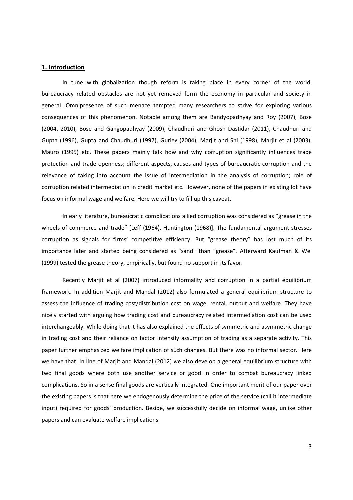## **1. Introduction**

In tune with globalization though reform is taking place in every corner of the world, bureaucracy related obstacles are not yet removed form the economy in particular and society in general. Omnipresence of such menace tempted many researchers to strive for exploring various consequences of this phenomenon. Notable among them are Bandyopadhyay and Roy (2007), Bose (2004, 2010), Bose and Gangopadhyay (2009), Chaudhuri and Ghosh Dastidar (2011), Chaudhuri and Gupta (1996), Gupta and Chaudhuri (1997), Guriev (2004), Marjit and Shi (1998), Marjit et al (2003), Mauro (1995) etc. These papers mainly talk how and why corruption significantly influences trade protection and trade openness; different aspects, causes and types of bureaucratic corruption and the relevance of taking into account the issue of intermediation in the analysis of corruption; role of corruption related intermediation in credit market etc. However, none of the papers in existing lot have focus on informal wage and welfare. Here we will try to fill up this caveat.

In early literature, bureaucratic complications allied corruption was considered as "grease in the wheels of commerce and trade" [Leff (1964), Huntington (1968)]. The fundamental argument stresses corruption as signals for firms' competitive efficiency. But "grease theory" has lost much of its importance later and started being considered as "sand" than "grease". Afterward Kaufman & Wei (1999) tested the grease theory, empirically, but found no support in its favor.

Recently Marjit et al (2007) introduced informality and corruption in a partial equilibrium framework. In addition Marjit and Mandal (2012) also formulated a general equilibrium structure to assess the influence of trading cost/distribution cost on wage, rental, output and welfare. They have nicely started with arguing how trading cost and bureaucracy related intermediation cost can be used interchangeably. While doing that it has also explained the effects of symmetric and asymmetric change in trading cost and their reliance on factor intensity assumption of trading as a separate activity. This paper further emphasized welfare implication of such changes. But there was no informal sector. Here we have that. In line of Marjit and Mandal (2012) we also develop a general equilibrium structure with two final goods where both use another service or good in order to combat bureaucracy linked complications. So in a sense final goods are vertically integrated. One important merit of our paper over the existing papers is that here we endogenously determine the price of the service (call it intermediate input) required for goods' production. Beside, we successfully decide on informal wage, unlike other papers and can evaluate welfare implications.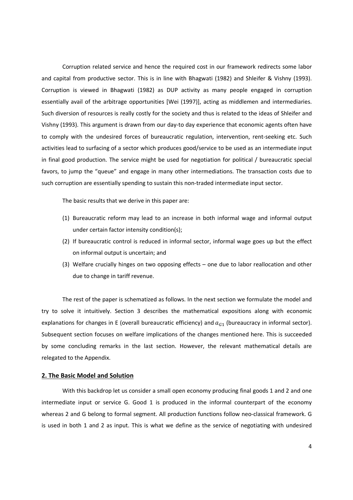Corruption related service and hence the required cost in our framework redirects some labor and capital from productive sector. This is in line with Bhagwati (1982) and Shleifer & Vishny (1993). Corruption is viewed in Bhagwati (1982) as DUP activity as many people engaged in corruption essentially avail of the arbitrage opportunities [Wei (1997)], acting as middlemen and intermediaries. Such diversion of resources is really costly for the society and thus is related to the ideas of Shleifer and Vishny (1993). This argument is drawn from our day-to day experience that economic agents often have to comply with the undesired forces of bureaucratic regulation, intervention, rent-seeking etc. Such activities lead to surfacing of a sector which produces good/service to be used as an intermediate input in final good production. The service might be used for negotiation for political / bureaucratic special favors, to jump the "queue" and engage in many other intermediations. The transaction costs due to such corruption are essentially spending to sustain this non-traded intermediate input sector.

The basic results that we derive in this paper are:

- (1) Bureaucratic reform may lead to an increase in both informal wage and informal output under certain factor intensity condition(s);
- (2) If bureaucratic control is reduced in informal sector, informal wage goes up but the effect on informal output is uncertain; and
- (3) Welfare crucially hinges on two opposing effects one due to labor reallocation and other due to change in tariff revenue.

The rest of the paper is schematized as follows. In the next section we formulate the model and try to solve it intuitively. Section 3 describes the mathematical expositions along with economic explanations for changes in E (overall bureaucratic efficiency) and  $a_{G1}$  (bureaucracy in informal sector). Subsequent section focuses on welfare implications of the changes mentioned here. This is succeeded by some concluding remarks in the last section. However, the relevant mathematical details are relegated to the Appendix.

#### **2. The Basic Model and Solution**

With this backdrop let us consider a small open economy producing final goods 1 and 2 and one intermediate input or service G. Good 1 is produced in the informal counterpart of the economy whereas 2 and G belong to formal segment. All production functions follow neo-classical framework. G is used in both 1 and 2 as input. This is what we define as the service of negotiating with undesired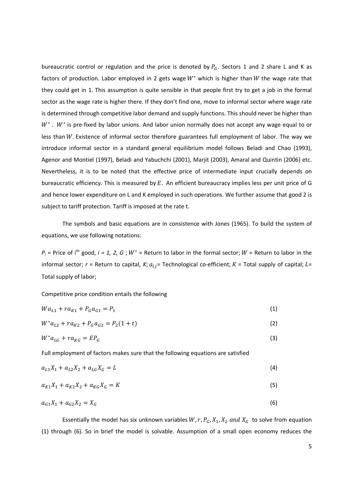bureaucratic control or regulation and the price is denoted by  $P_G$ . Sectors 1 and 2 share L and K as factors of production. Labor employed in 2 gets wage  $W^*$  which is higher than W the wage rate that they could get in 1. This assumption is quite sensible in that people first try to get a job in the formal sector as the wage rate is higher there. If they don't find one, move to informal sector where wage rate is determined through competitive labor demand and supply functions. This should never be higher than  $W^*$ .  $W^*$  is pre-fixed by labor unions. And labor union normally does not accept any wage equal to or less than  $W$ . Existence of informal sector therefore guarantees full employment of labor. The way we introduce informal sector in a standard general equilibrium model follows Beladi and Chao (1993), Agenor and Montiel (1997), Beladi and Yabuchchi (2001), Marjit (2003), Amaral and Quintin (2006) etc. Nevertheless, it is to be noted that the effective price of intermediate input crucially depends on bureaucratic efficiency. This is measured by  $E$ . An efficient bureaucracy implies less per unit price of G and hence lower expenditure on L and K employed in such operations. We further assume that good 2 is subject to tariff protection. Tariff is imposed at the rate t.

The symbols and basic equations are in consistence with Jones (1965). To build the system of equations, we use following notations:

 $P_i$  = Price of i<sup>th</sup> good, *i* = 1, 2, G;  $W^*$  = Return to labor in the formal sector;  $W$  = Return to labor in the informal sector;  $r$  = Return to capital,  $K$ ;  $a_{ij}$ = Technological co-efficient;  $K$  = Total supply of capital;  $L$ = Total supply of labor;

Competitive price condition entails the following

$$
Wa_{L1} + ra_{K1} + P_G a_{G1} = P_1 \tag{1}
$$

 $W^*a_{L2} + ra_{K2} + P_Ga_{G2} = P_2(1+t)$  (2)

$$
W^* a_{LG} + r a_{KG} = E P_G \tag{3}
$$

Full employment of factors makes sure that the following equations are satisfied

$$
a_{L1}X_1 + a_{L2}X_2 + a_{LG}X_G = L \tag{4}
$$

$$
a_{K1}X_1 + a_{K2}X_2 + a_{KG}X_G = K
$$
\n(5)

$$
a_{G1}X_1 + a_{G2}X_2 = X_G \tag{6}
$$

Essentially the model has six unknown variables  $W$ ,  $r$ ,  $P_G$ ,  $X_1$ ,  $X_2$  and  $X_G$  to solve from equation (1) through (6). So in brief the model is solvable. Assumption of a small open economy reduces the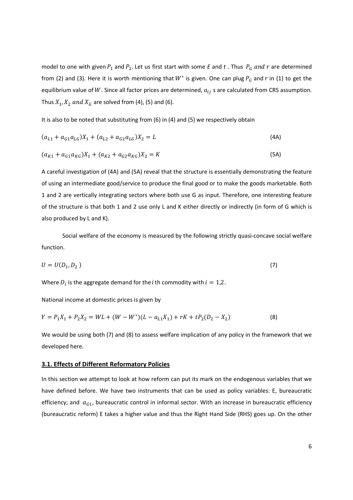model to one with given  $P_1$  and  $P_2$ . Let us first start with some *E* and *t*. Thus  $P_G$  and *r* are determined from (2) and (3). Here it is worth mentioning that  $W^*$  is given. One can plug  $P_G$  and  $r$  in (1) to get the equilibrium value of W. Since all factor prices are determined,  $a_{ij}$  s are calculated from CRS assumption. Thus  $X_1, X_2$  and  $X_G$  are solved from (4), (5) and (6).

It is also to be noted that substituting from (6) in (4) and (5) we respectively obtain

$$
(a_{L1} + a_{G1}a_{LG})X_1 + (a_{L2} + a_{G2}a_{LG})X_2 = L
$$
\n(4A)

$$
(a_{K1} + a_{G1}a_{KG})X_1 + (a_{K2} + a_{G2}a_{KG})X_2 = K
$$
\n(5A)

A careful investigation of (4A) and (5A) reveal that the structure is essentially demonstrating the feature of using an intermediate good/service to produce the final good or to make the goods marketable. Both 1 and 2 are vertically integrating sectors where both use G as input. Therefore, one interesting feature of the structure is that both 1 and 2 use only L and K either directly or indirectly (in form of G which is also produced by L and K).

Social welfare of the economy is measured by the following strictly quasi-concave social welfare function.

$$
U = U(D_1, D_2) \tag{7}
$$

Where  $D_i$  is the aggregate demand for the *i* th commodity with  $i = 1,2$ .

National income at domestic prices is given by

$$
Y = P_1 X_1 + P_2 X_2 = WL + (W - W^*)(L - a_{L1}X_1) + rK + tP_2(D_2 - X_2)
$$
\n(8)

We would be using both (7) and (8) to assess welfare implication of any policy in the framework that we developed here.

### **3.1. Effects of Different Reformatory Policies**

In this section we attempt to look at how reform can put its mark on the endogenous variables that we have defined before. We have two instruments that can be used as policy variables: E, bureaucratic efficiency; and  $a_{G1}$ , bureaucratic control in informal sector. With an increase in bureaucratic efficiency (bureaucratic reform) E takes a higher value and thus the Right Hand Side (RHS) goes up. On the other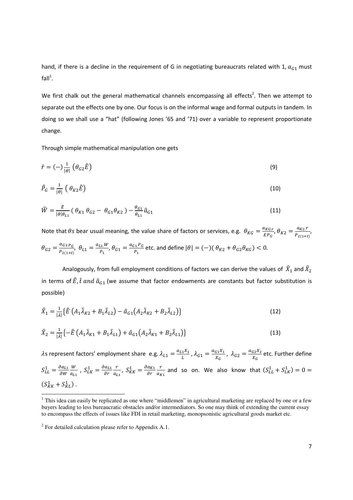hand, if there is a decline in the requirement of G in negotiating bureaucrats related with 1,  $a_{G1}$  must fall $^1$ .

We first chalk out the general mathematical channels encompassing all effects<sup>2</sup>. Then we attempt to separate out the effects one by one. Our focus is on the informal wage and formal outputs in tandem. In doing so we shall use a "hat" (following Jones '65 and '71) over a variable to represent proportionate change.

Through simple mathematical manipulation one gets

$$
\hat{r} = (-)\frac{1}{|\theta|} \left( \theta_{G2} \hat{E} \right) \tag{9}
$$

$$
\hat{P}_G = \frac{1}{|\theta|} \left( \theta_{K2} \hat{E} \right) \tag{10}
$$

$$
\widehat{W} = \frac{\widehat{E}}{|\theta|\theta_{L1}} (\theta_{K1} \theta_{G2} - \theta_{G1} \theta_{K2}) - \frac{\theta_{G1}}{\theta_{L1}} \widehat{a}_{G1} \tag{11}
$$

Note that  $\theta s$  bear usual meaning, the value share of factors or services, e.g.  $\theta_{KG} = \frac{a_{KG,r}}{FD_{c}}$  $\frac{a_{KG,r}}{EP_G}$ ,  $\theta_{K2} = \frac{a_{K2}.r}{P_{2(1+t)}}$  $\frac{u_{K2}I}{P_{2(1+t)}},$  $\theta_{G2} = \frac{a_{G2.P_G}}{P_{G2.P_G}}$  $\frac{a_{G2.P_G}}{P_{2(1+t)}}, \theta_{L1} = \frac{a_{L1.W}}{P_1}$  $\frac{a_{G1}.W}{P_1}, \theta_{G1} = \frac{a_{G1}.P_G}{P_1}$  $\frac{d^3F G}{P_1}$  etc. and define  $|\theta| = (-)(\theta_{K2} + \theta_{G2}\theta_{KG}) < 0.$ 

Analogously, from full employment conditions of factors we can derive the values of  $\,\hat X_1$  and  $\hat X_2$ in terms of  $\hat{E}$ ,  $\hat{t}$  and  $\hat{a}_{G1}$  (we assume that factor endowments are constants but factor substitution is possible)

$$
\hat{X}_1 = \frac{1}{|\lambda|} \{ \hat{E} \left( A_1 \bar{\lambda}_{K2} + B_1 \bar{\lambda}_{L2} \right) - \hat{a}_{G1} \left( A_2 \bar{\lambda}_{K2} + B_2 \bar{\lambda}_{L2} \right) \} \tag{12}
$$

$$
\hat{X}_2 = \frac{1}{|\lambda|} \left\{ -\hat{E} \left( A_1 \bar{\lambda}_{K1} + B_1 \bar{\lambda}_{L1} \right) + \hat{a}_{G1} \left( A_2 \bar{\lambda}_{K1} + B_2 \bar{\lambda}_{L1} \right) \right\}
$$
(13)

 $\lambda$ s represent factors' employment share e.g.  $\lambda_{L1} = \frac{a_{L1}X_1}{L}$  $\frac{1}{L}^{1}$  ,  $\lambda_{G1} = \frac{a_{G1}X_1}{X_G}$  $\frac{G_1 X_1}{X_G}$ ,  $\lambda_{G2} = \frac{a_{G2} X_2}{X_G}$  $\frac{G2\Lambda_2}{X_G}$  etc. Further define  $S_{LL}^1 = \frac{\partial a_{L1}}{\partial w}$  $\partial W$ W  $\frac{W}{a_{L1}}$ ,  $S_{LK}^{1} = \frac{\partial a_{L1}}{\partial r}$  $\partial r$  $\mathbf{r}$  $\frac{r}{a_{L1}}$ ,  $S_{KK}^1 = \frac{\partial a_{K1}}{\partial r}$  $\partial r$  $\mathbf{r}$  $\frac{r}{a_{K1}}$  and so on. We also know that  $(S_{LL}^1 + S_{LK}^1) = 0 =$  $(S^1_{KK}+S^1_{KL})$ .

<u>.</u>

<sup>&</sup>lt;sup>1</sup> This idea can easily be replicated as one where "middlemen" in agricultural marketing are replaced by one or a few buyers leading to less bureaucratic obstacles and/or intermediators. So one may think of extending the current essay to encompass the effects of issues like FDI in retail marketing, monopsonistic agricultural goods market etc.

 $2^2$  For detailed calculation please refer to Appendix A.1.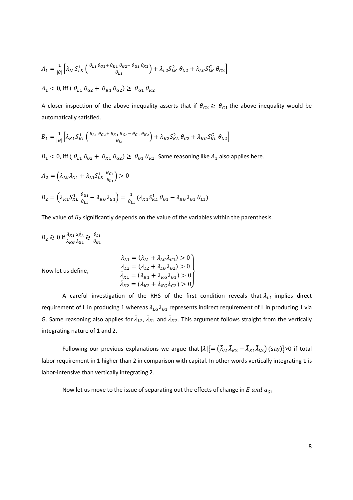$$
A_1 = \frac{1}{|\theta|} \Big[ \lambda_{L1} S_{LK}^1 \left( \frac{\theta_{L1} \theta_{G2} + \theta_{K1} \theta_{G2} - \theta_{G1} \theta_{K2}}{\theta_{L1}} \right) + \lambda_{L2} S_{LK}^2 \theta_{G2} + \lambda_{LG} S_{LK}^G \theta_{G2} \Big]
$$
  

$$
A_1 < 0, \text{ iff } (\theta_{L1} \theta_{G2} + \theta_{K1} \theta_{G2}) \ge \theta_{G1} \theta_{K2}
$$

A closer inspection of the above inequality asserts that if  $\theta_{G2} \ge \theta_{G1}$  the above inequality would be automatically satisfied.

$$
B_1 = \frac{1}{|\theta|} \Big[ \lambda_{K1} S_{KL}^1 \Big( \frac{\theta_{L1} \theta_{G2} + \theta_{K1} \theta_{G2} - \theta_{G1} \theta_{K2}}{\theta_{L1}} \Big) + \lambda_{K2} S_{KL}^2 \theta_{G2} + \lambda_{KG} S_{KL}^G \theta_{G2} \Big]
$$

 $B_1 < 0$ , iff  $(\theta_{L1} \theta_{G2} + \theta_{K1} \theta_{G2}) \ge \theta_{G1} \theta_{K2}$ . Same reasoning like  $A_1$  also applies here.

$$
A_2 = \left(\lambda_{LG}\lambda_{G1} + \lambda_{L1}S_{LK}^1 \frac{\theta_{G1}}{\theta_{L1}}\right) > 0
$$
  

$$
B_2 = \left(\lambda_{K1}S_{KL}^1 \frac{\theta_{G1}}{\theta_{L1}} - \lambda_{KG}\lambda_{G1}\right) = \frac{1}{\theta_{L1}}(\lambda_{K1}S_{KL}^1 \theta_{G1} - \lambda_{KG}\lambda_{G1} \theta_{L1})
$$

The value of  $B_2$  significantly depends on the value of the variables within the parenthesis.

$$
B_2 \gtrless 0 \text{ if } \frac{\lambda_{K1}}{\lambda_{KG}} \frac{S_{KL}^1}{\lambda_{G1}} \gtrless \frac{\theta_{L1}}{\theta_{G1}}
$$

Now let us define,

$$
\bar{\lambda}_{L1} = (\lambda_{L1} + \lambda_{LG}\lambda_{G1}) > 0
$$
\n
$$
\bar{\lambda}_{L2} = (\lambda_{L2} + \lambda_{LG}\lambda_{G2}) > 0
$$
\n
$$
\bar{\lambda}_{K1} = (\lambda_{K1} + \lambda_{KG}\lambda_{G1}) > 0
$$
\n
$$
\bar{\lambda}_{K2} = (\lambda_{K2} + \lambda_{KG}\lambda_{G2}) > 0
$$

A careful investigation of the RHS of the first condition reveals that  $\lambda_{L1}$  implies direct requirement of L in producing 1 whereas  $\lambda_{LG} \lambda_{G1}$  represents indirect requirement of L in producing 1 via G. Same reasoning also applies for  $\bar\lambda_{L2}$ ,  $\bar\lambda_{K1}$  and  $\bar\lambda_{K2}$ . This argument follows straight from the vertically integrating nature of 1 and 2.

Following our previous explanations we argue that  $|\lambda|$  {=  $(\bar\lambda_{L1}\bar\lambda_{K2}-\bar\lambda_{K1}\bar\lambda_{L2})$  (say)}>0 if total labor requirement in 1 higher than 2 in comparison with capital. In other words vertically integrating 1 is labor-intensive than vertically integrating 2.

Now let us move to the issue of separating out the effects of change in  $E$  and  $a_{G1}$ .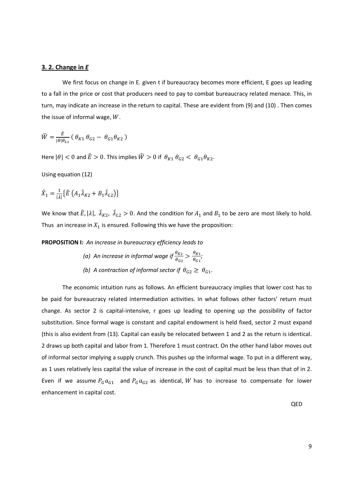## **3. 2. Change in** *E*

We first focus on change in E. given t if bureaucracy becomes more efficient, E goes up leading to a fall in the price or cost that producers need to pay to combat bureaucracy related menace. This, in turn, may indicate an increase in the return to capital. These are evident from (9) and (10) . Then comes the issue of informal wage,  $W$ .

$$
\widehat{W} = \frac{\widehat{\varepsilon}}{|\theta|\theta_{L1}} \left( \theta_{K1} \theta_{G2} - \theta_{G1} \theta_{K2} \right)
$$

Here  $|\theta| < 0$  and  $\hat{E} > 0$ . This implies  $\hat{W} > 0$  if  $\theta_{K1} \theta_{G2} < \theta_{G1} \theta_{K2}$ .

Using equation (12)

$$
\hat{X}_1 = \frac{1}{|\lambda|} \{ \hat{E} \left( A_1 \bar{\lambda}_{K2} + B_1 \bar{\lambda}_{L2} \right) \}
$$

We know that  $\hat{E}$ ,  $|\lambda|$ ,  $\bar{\lambda}_{K2}$ ,  $\bar{\lambda}_{L2} > 0$ . And the condition for  $A_1$  and  $B_1$  to be zero are most likely to hold. Thus an increase in  $X_1$  is ensured. Following this we have the proposition:

**PROPOSITION I:** *An increase in bureaucracy efficiency leads to* 

(a) An increase in informal wage if  $\frac{\theta_{K2}}{\theta_{G2}} > \frac{\theta_{K1}}{\theta_{G1}}$  $\frac{\theta_{K1}}{\theta_{G1}}$ (b) A contraction of informal sector if  $\theta_{G2} \ge \theta_{G1}$ .

The economic intuition runs as follows. An efficient bureaucracy implies that lower cost has to be paid for bureaucracy related intermediation activities. In what follows other factors' return must change. As sector 2 is capital-intensive, r goes up leading to opening up the possibility of factor substitution. Since formal wage is constant and capital endowment is held fixed, sector 2 must expand (this is also evident from (13). Capital can easily be relocated between 1 and 2 as the return is identical. 2 draws up both capital and labor from 1. Therefore 1 must contract. On the other hand labor moves out of informal sector implying a supply crunch. This pushes up the informal wage. To put in a different way, as 1 uses relatively less capital the value of increase in the cost of capital must be less than that of in 2. Even if we assume  $P_G a_{G1}$  and  $P_G a_{G2}$  as identical, W has to increase to compensate for lower enhancement in capital cost.

QED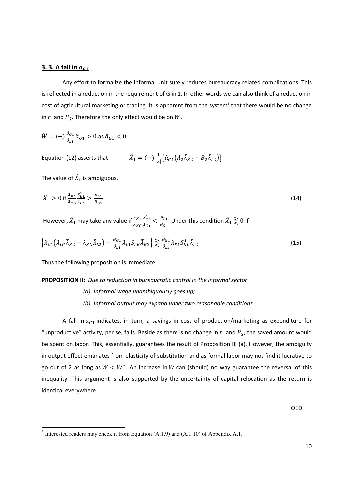## **3. 3. A fall in**  $a_{c1}$

Any effort to formalize the informal unit surely reduces bureaucracy related complications. This is reflected in a reduction in the requirement of G in 1. In other words we can also think of a reduction in cost of agricultural marketing or trading. It is apparent from the system<sup>3</sup> that there would be no change in  $r$  and  $P_G$ . Therefore the only effect would be on  $W$ .

$$
\widehat{W} = (-)\frac{\theta_{G1}}{\theta_{L1}}\widehat{a}_{G1} > 0 \text{ as } \widehat{a}_{G1} < 0
$$

Equation (12) asserts that '  $\bar{A}_1 = (-)\frac{1}{|\lambda|} \{\hat{a}_{G1}(A_2\bar{\lambda}_{K2} + B_2\bar{\lambda}_{L2})\}$ 

The value of  $\widehat{X}_1$  is ambiguous.

<u>.</u>

$$
\hat{X}_1 > 0 \text{ if } \frac{\lambda_{K1}}{\lambda_{KG}} \frac{S_{KL}^1}{\lambda_{G1}} > \frac{\theta_{L1}}{\theta_{G1}} \tag{14}
$$

However,  $\hat{X}_1$  may take any value if  $\frac{\lambda_{K1}}{\lambda_{KG}}$  $\,S^{\,1}_{KL}\,$  $\frac{S_{KL}^1}{\lambda_{G1}} < \frac{\theta_{L1}}{\theta_{G1}}$  $\frac{\theta_{L1}}{\theta_{G1}}$ . Under this condition  $\hat{X}_1 \gtrless 0$  if

$$
\left\{\lambda_{G1}\left(\lambda_{LG}\bar{\lambda}_{K2} + \lambda_{KG}\bar{\lambda}_{L2}\right) + \frac{\theta_{G1}}{\theta_{L1}}\lambda_{L1}S_{LK}^1\bar{\lambda}_{K2}\right\} \gtrless \frac{\theta_{G1}}{\theta_{L1}}\lambda_{K1}S_{KL}^1\bar{\lambda}_{L2}
$$
\n(15)

Thus the following proposition is immediate

#### **PROPOSITION II:** *Due to reduction in bureaucratic control in the informal sector*

*(a) Informal wage unambiguously goes up; (b) Informal output may expand under two reasonable conditions.* 

A fall in  $a_{G1}$  indicates, in turn, a savings in cost of production/marketing as expenditure for "unproductive" activity, per se, falls. Beside as there is no change in  $r$  and  $P_G$ , the saved amount would be spent on labor. This, essentially, guarantees the result of Proposition III (a). However, the ambiguity in output effect emanates from elasticity of substitution and as formal labor may not find it lucrative to go out of 2 as long as  $W < W^*$ . An increase in W can (should) no way guarantee the reversal of this inequality. This argument is also supported by the uncertainty of capital relocation as the return is identical everywhere.

QED

<sup>&</sup>lt;sup>3</sup> Interested readers may check it from Equation  $(A.1.9)$  and  $(A.1.10)$  of Appendix A.1.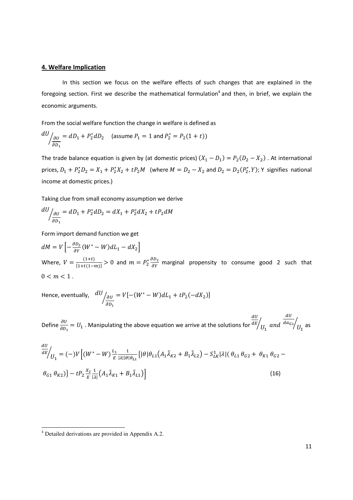# **4. Welfare Implication**

In this section we focus on the welfare effects of such changes that are explained in the foregoing section. First we describe the mathematical formulation<sup>4</sup> and then, in brief, we explain the economic arguments.

From the social welfare function the change in welfare is defined as

$$
\frac{dU}{d\theta_1} = dD_1 + P_2^* dD_2 \quad \text{(assume } P_1 = 1 \text{ and } P_2^* = P_2(1+t))
$$

The trade balance equation is given by (at domestic prices)  $(X_1 - D_1) = P_2(D_2 - X_2)$ . At international prices,  $D_1 + P_2^* D_2 = X_1 + P_2^* X_2 + t P_2 M$  (where  $M = D_2 - X_2$  and  $D_2 = D_2(P_2^*, Y)$ ; Y signifies national income at domestic prices.)

Taking clue from small economy assumption we derive

$$
\frac{dU}{dD_1} = dD_1 + P_2^* dD_2 = dX_1 + P_2^* dX_2 + tP_2 dM
$$

Form import demand function we get

 $dM = V \left[ - \frac{\partial D_2}{\partial V} \right]$  $\frac{\partial D_2}{\partial Y}(W^* - W) dL_1 - dX_2$ Where,  $V = \frac{(1+t)}{\{1+t(1-m)\}} > 0$  and  $m = P_2^* \frac{\partial D_2}{\partial Y}$  marginal propensity to consume good 2 such that  $0 < m < 1$ .

Hence, eventually,  $\left. \frac{dU}{d\theta}\right|_{\partial U}$  $\partial D_1$  $\sqrt{\frac{\partial v}{\partial x}} = V[-(W^* - W) dL_1 + tP_2(-dX_2)]$ 

Define  $\frac{\partial U}{\partial D_1} = U_1$  . Manipulating the above equation we arrive at the solutions for  $dU$  $\left. \frac{dE}{U_1} \right|$  and  $dU$  $\left. \frac{da_{G_1}}{U_1} \right|_{\text{as}}$ 

$$
\frac{dU}{dE}\Big|_{U_1} = (-)V \Big[ (W^* - W) \frac{L_1}{E} \frac{1}{|\lambda||\theta|\theta_{L1}} \{ |\theta|\theta_{L1}(A_1\bar{\lambda}_{K2} + B_1\bar{\lambda}_{L2}) - S_{LK}^1 |\lambda| (\theta_{L1}\theta_{G2} + \theta_{K1}\theta_{G2} - \theta_{G1}\theta_{K2}) \} - tP_2 \frac{x_2}{E} \frac{1}{|\lambda|} (A_1\bar{\lambda}_{K1} + B_1\bar{\lambda}_{L1}) \Big]
$$
(16)

<u>.</u>

<sup>&</sup>lt;sup>4</sup> Detailed derivations are provided in Appendix A.2.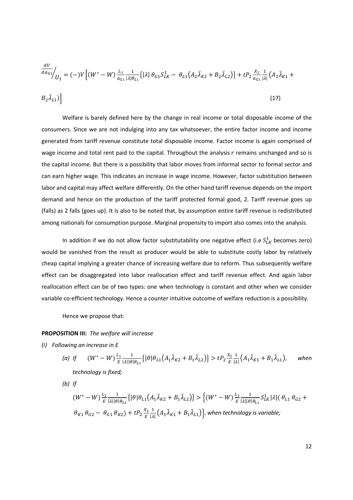$$
\frac{dU}{da_{G1}}\Big|_{U_1} = (-)V \Big[ (W^* - W) \frac{L_1}{a_{G1}} \frac{1}{|\lambda| \theta_{L1}} \{ |\lambda| \theta_{G1} S_{LK}^1 - \theta_{L1} (A_2 \bar{\lambda}_{K2} + B_2 \bar{\lambda}_{L2}) \} + t P_2 \frac{X_2}{a_{G1}} \frac{1}{|\lambda|} (A_2 \bar{\lambda}_{K1} + B_2 \bar{\lambda}_{L1}) \Big]
$$
\n
$$
(17)
$$

Welfare is barely defined here by the change in real income or total disposable income of the consumers. Since we are not indulging into any tax whatsoever, the entire factor income and income generated from tariff revenue constitute total disposable income. Factor income is again comprised of wage income and total rent paid to the capital. Throughout the analysis  $r$  remains unchanged and so is the capital income. But there is a possibility that labor moves from informal sector to formal sector and can earn higher wage. This indicates an increase in wage income. However, factor substitution between labor and capital may affect welfare differently. On the other hand tariff revenue depends on the import demand and hence on the production of the tariff protected formal good, 2. Tariff revenue goes up (falls) as 2 falls (goes up). It is also to be noted that, by assumption entire tariff revenue is redistributed among nationals for consumption purpose. Marginal propensity to import also comes into the analysis.

In addition if we do not allow factor substitutability one negative effect (i.e  $S_{LK}^1$  becomes zero) would be vanished from the result as producer would be able to substitute costly labor by relatively cheap capital implying a greater chance of increasing welfare due to reform. Thus subsequently welfare effect can be disaggregated into labor reallocation effect and tariff revenue effect. And again labor reallocation effect can be of two types: one when technology is constant and other when we consider variable co-efficient technology. Hence a counter intuitive outcome of welfare reduction is a possibility.

Hence we propose that:

#### **PROPOSITION III:** *The welfare will increase*

*(i) Following an increase in E* 

(a) If 
$$
(W^* - W)^{\frac{L_1}{E}} \frac{1}{|\lambda| |\theta| \theta_{L_1}} \{ |\theta| \theta_{L_1} (A_1 \bar{\lambda}_{K_2} + B_1 \bar{\lambda}_{L_2}) \} > t P_2 \frac{x_2}{E} \frac{1}{|\lambda|} (A_1 \bar{\lambda}_{K_1} + B_1 \bar{\lambda}_{L_1}),
$$
 when  
technology is fixed;

*(b) If* 

$$
(W^* - W)^{\frac{L_1}{E}} \frac{1}{|\lambda||\theta|\theta_{L1}} \{ |\theta|\theta_{L1}(A_1\bar{\lambda}_{K2} + B_1\bar{\lambda}_{L2}) \} > \left\{ (W^* - W)^{\frac{L_1}{E}} \frac{1}{|\lambda||\theta|\theta_{L1}} S_{LK}^1 |\lambda| (\theta_{L1} \theta_{G2} + \theta_{K1} \theta_{G2} - \theta_{G1} \theta_{K2}) + tP_2 \frac{x_2}{E} \frac{1}{|\lambda|} (A_1\bar{\lambda}_{K1} + B_1\bar{\lambda}_{L1}) \right\}, \text{when technology is variable;}
$$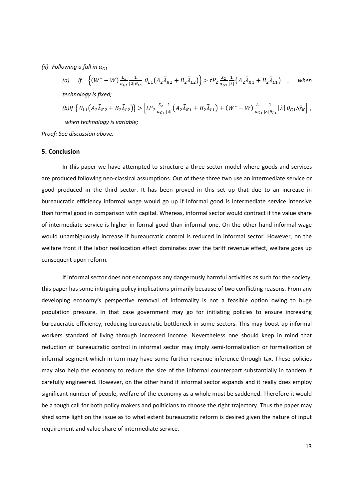*(ii)* Following a fall in  $a_{G1}$ 

(a) If 
$$
\{(W^* - W) \frac{L_1}{a_{G1}} \frac{1}{|\lambda| \theta_{L1}} \theta_{L1} (A_2 \overline{\lambda}_{K2} + B_2 \overline{\lambda}_{L2})\} > tP_2 \frac{X_2}{a_{G1}} \frac{1}{|\lambda|} (A_2 \overline{\lambda}_{K1} + B_2 \overline{\lambda}_{L1})
$$
, when  
technology is fixed;  
(b) If  $\{\theta_{L1} (A_2 \overline{\lambda}_{K2} + B_2 \overline{\lambda}_{L2})\} > [tP_2 \frac{X_2}{a_{G1}} \frac{1}{|\lambda|} (A_2 \overline{\lambda}_{K1} + B_2 \overline{\lambda}_{L1}) + (W^* - W) \frac{L_1}{a_{G1}} \frac{1}{|\lambda| \theta_{L1}} |\lambda| \theta_{G1} S_{LK}^1]$ ,  
when technology is variable;  
Proof: See discussion above.

#### **5. Conclusion**

In this paper we have attempted to structure a three-sector model where goods and services are produced following neo-classical assumptions. Out of these three two use an intermediate service or good produced in the third sector. It has been proved in this set up that due to an increase in bureaucratic efficiency informal wage would go up if informal good is intermediate service intensive than formal good in comparison with capital. Whereas, informal sector would contract if the value share of intermediate service is higher in formal good than informal one. On the other hand informal wage would unambiguously increase if bureaucratic control is reduced in informal sector. However, on the welfare front if the labor reallocation effect dominates over the tariff revenue effect, welfare goes up consequent upon reform.

If informal sector does not encompass any dangerously harmful activities as such for the society, this paper has some intriguing policy implications primarily because of two conflicting reasons. From any developing economy's perspective removal of informality is not a feasible option owing to huge population pressure. In that case government may go for initiating policies to ensure increasing bureaucratic efficiency, reducing bureaucratic bottleneck in some sectors. This may boost up informal workers standard of living through increased income. Nevertheless one should keep in mind that reduction of bureaucratic control in informal sector may imply semi-formalization or formalization of informal segment which in turn may have some further revenue inference through tax. These policies may also help the economy to reduce the size of the informal counterpart substantially in tandem if carefully engineered. However, on the other hand if informal sector expands and it really does employ significant number of people, welfare of the economy as a whole must be saddened. Therefore it would be a tough call for both policy makers and politicians to choose the right trajectory. Thus the paper may shed some light on the issue as to what extent bureaucratic reform is desired given the nature of input requirement and value share of intermediate service.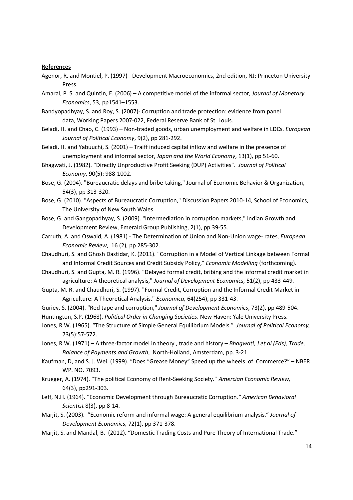#### **References**

- Agenor, R. and Montiel, P. (1997) Development Macroeconomics, 2nd edition, NJ: Princeton University Press.
- Amaral, P. S. and Quintin, E. (2006) A competitive model of the informal sector, *Journal of Monetary Economics*, 53, pp1541–1553.
- Bandyopadhyay, S. and Roy, S. (2007)- Corruption and trade protection: evidence from panel data, Working Papers 2007-022, Federal Reserve Bank of St. Louis.
- Beladi, H. and Chao, C. (1993) Non-traded goods, urban unemployment and welfare in LDCs. *European Journal of Political Economy*, 9(2), pp 281-292.
- Beladi, H. and Yabuuchi, S. (2001) Traiff induced capital inflow and welfare in the presence of unemployment and informal sector, *Japan and the World Economy*, 13(1), pp 51-60.
- Bhagwati, J. (1982). "Directly Unproductive Profit Seeking (DUP) Activities". *Journal of Political Economy*, 90(5): 988-1002.
- Bose, G. (2004). "Bureaucratic delays and bribe-taking," Journal of Economic Behavior & Organization, 54(3), pp 313-320.
- Bose, G. (2010). "Aspects of Bureaucratic Corruption," Discussion Papers 2010-14, School of Economics, The University of New South Wales.
- Bose, G. and Gangopadhyay, S. (2009). "Intermediation in corruption markets," Indian Growth and Development Review, Emerald Group Publishing, 2(1), pp 39-55.
- Carruth, A. and Oswald, A. (1981) The Determination of Union and Non-Union wage- rates, *European Economic Review*, 16 (2), pp 285-302.
- Chaudhuri, S. and Ghosh Dastidar, K. (2011). "Corruption in a Model of Vertical Linkage between Formal and Informal Credit Sources and Credit Subsidy Policy," *Economic Modelling* (forthcoming).
- Chaudhuri, S. and Gupta, M. R. (1996). "Delayed formal credit, bribing and the informal credit market in agriculture: A theoretical analysis," *Journal of Development Economics,* 51(2), pp 433-449.
- Gupta, M. R. and Chaudhuri, S. (1997). "Formal Credit, Corruption and the Informal Credit Market in Agriculture: A Theoretical Analysis." *Economica,* 64(254), pp 331-43.
- Guriev, S. (2004). "Red tape and corruption," *Journal of Development Economics*, 73(2), pp 489-504.
- Huntington, S.P. (1968). *Political Order in Changing Societies*. New Haven: Yale University Press.
- Jones, R.W. (1965). "The Structure of Simple General Equilibrium Models." *Journal of Political Economy,*  73(5):57-572.
- Jones, R.W. (1971) A three-factor model in theory , trade and history *Bhagwati, J et al (Eds), Trade, Balance of Payments and Growth*, North-Holland, Amsterdam, pp. 3-21.
- Kaufman, D, and S. J. Wei. (1999). "Does "Grease Money" Speed up the wheels of Commerce?" NBER WP. NO. 7093.
- Krueger, A. (1974). "The political Economy of Rent-Seeking Society." *Amercian Economic Review,*  64(3), pp291-303.
- Leff, N.H. (1964). "Economic Development through Bureaucratic Corruption*." American Behavioral Scientist* 8(3), pp 8-14.
- Marjit, S. (2003). "Economic reform and informal wage: A general equilibrium analysis." *Journal of Development Economics,* 72(1), pp 371-378.
- Marjit, S. and Mandal, B. (2012). "Domestic Trading Costs and Pure Theory of International Trade."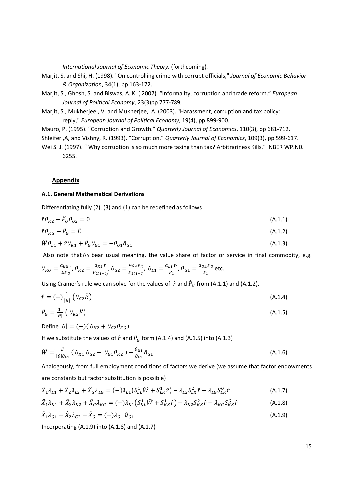*International Journal of Economic Theory,* (forthcoming)*.* 

- Marjit, S. and Shi, H. (1998). "On controlling crime with corrupt officials," *Journal of Economic Behavior & Organization*, 34(1), pp 163-172.
- Marjit, S., Ghosh, S. and Biswas, A. K. ( 2007). "Informality, corruption and trade reform." *European Journal of Political Economy*, 23(3)pp 777-789*.*
- Marjit, S., Mukherjee , V. and Mukherjee, A. (2003). "Harassment, corruption and tax policy: reply," *European Journal of Political Economy*, 19(4), pp 899-900.
- Mauro, P. (1995). "Corruption and Growth." *Quarterly Journal of Economics*, 110(3), pp 681-712.
- Shleifer ,A, and Vishny, R. (1993). "Corruption." *Quarterly Journal of Economics*, 109(3), pp 599-617.
- Wei S. J. (1997). "Why corruption is so much more taxing than tax? Arbitrariness Kills." NBER WP.NO. 6255.

#### **Appendix**

#### **A.1. General Mathematical Derivations**

Differentiating fully (2), (3) and (1) can be redefined as follows

$$
\hat{r}\theta_{K2} + \hat{P}_G \theta_{G2} = 0
$$
\n
$$
\hat{r}\theta_{KG} - \hat{P}_G = \hat{E}
$$
\n(A.1.1)\n(A.1.2)

$$
\widehat{W}\theta_{L1} + \hat{r}\theta_{K1} + \hat{P}_G\theta_{G1} = -\theta_{G1}\hat{a}_{G1}
$$
\n(A.1.3)

Also note that  $\theta$ s bear usual meaning, the value share of factor or service in final commodity, e.g.

$$
\theta_{KG} = \frac{a_{KGr}}{EP_G}, \theta_{K2} = \frac{a_{K2}.r}{P_{2(1+t)}}, \theta_{G2} = \frac{a_{G2}.p_G}{P_{2(1+t)}}, \theta_{L1} = \frac{a_{L1}.W}{P_1}, \theta_{G1} = \frac{a_{G1}.p_G}{P_1}
$$
etc.

Using Cramer's rule we can solve for the values of  $\hat{r}$  and  $\hat{P}_G$  from (A.1.1) and (A.1.2).

$$
\hat{r} = (-)\frac{1}{|\theta|} \left( \theta_{G2} \hat{E} \right) \tag{A.1.4}
$$

$$
\hat{P}_G = \frac{1}{|\theta|} \left( \theta_{K2} \hat{E} \right) \tag{A.1.5}
$$

Define  $|\theta| = (-)(\theta_{K2} + \theta_{G2}\theta_{KG})$ 

If we substitute the values of  $\hat{r}$  and  $\hat{P}_G$  form (A.1.4) and (A.1.5) into (A.1.3)

$$
\widehat{W} = \frac{\widehat{E}}{|\theta|\theta_{L1}} (\theta_{K1} \theta_{G2} - \theta_{G1} \theta_{K2}) - \frac{\theta_{G1}}{\theta_{L1}} \widehat{a}_{G1} \tag{A.1.6}
$$

Analogously, from full employment conditions of factors we derive (we assume that factor endowments are constants but factor substitution is possible)

$$
\hat{X}_1 \lambda_{L1} + \hat{X}_2 \lambda_{L2} + \hat{X}_G \lambda_{LG} = (-)\lambda_{L1} \left( S_{LL}^1 \hat{W} + S_{LK}^1 \hat{r} \right) - \lambda_{L2} S_{LK}^2 \hat{r} - \lambda_{LG} S_{LK}^G \hat{r}
$$
\n(A.1.7)

$$
\hat{X}_1 \lambda_{K1} + \hat{X}_2 \lambda_{K2} + \hat{X}_G \lambda_{KG} = (-\lambda_{K1} \left( S_{KL}^1 \hat{W} + S_{KK}^1 \hat{r} \right) - \lambda_{K2} S_{KK}^2 \hat{r} - \lambda_{KG} S_{KK}^G \hat{r}
$$
\n(A.1.8)

$$
\hat{X}_1 \lambda_{G1} + \hat{X}_2 \lambda_{G2} - \hat{X}_G = (-\lambda_{G1} \hat{a}_{G1})
$$
\n(A.1.9)

Incorporating (A.1.9) into (A.1.8) and (A.1.7)

15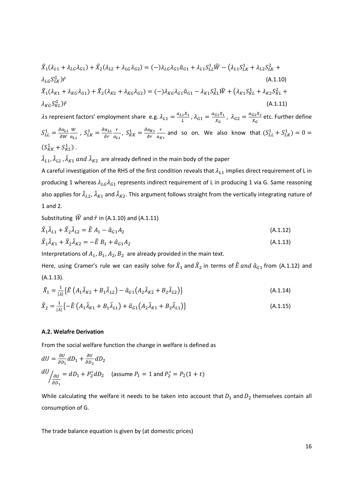$$
\hat{X}_{1}(\lambda_{L1} + \lambda_{LG}\lambda_{G1}) + \hat{X}_{2}(\lambda_{L2} + \lambda_{LG}\lambda_{G2}) = (-)\lambda_{LG}\lambda_{G1}\hat{a}_{G1} + \lambda_{L1}S_{LL}^{1}\hat{W} - (\lambda_{L1}S_{LK}^{1} + \lambda_{L2}S_{LK}^{2} + \lambda_{LG}S_{LK}^{G})\hat{r}
$$
\n(A.1.10)  
\n
$$
\hat{X}_{1}(\lambda_{K1} + \lambda_{KG}\lambda_{G1}) + \hat{X}_{2}(\lambda_{K2} + \lambda_{KG}\lambda_{G2}) = (-)\lambda_{KG}\lambda_{G1}\hat{a}_{G1} - \lambda_{K1}S_{KL}^{1}\hat{W} + (\lambda_{K1}S_{KL}^{1} + \lambda_{K2}S_{KL}^{2} + \lambda_{KG}S_{KL}^{G})\hat{r}
$$
\n(A.1.11)

 $\lambda$ s represent factors' employment share e.g.  $\lambda_{L1} = \frac{a_{L1}X_1}{L}$  $\frac{1}{L}^{X_1}$  ,  $\lambda_{G1} = \frac{a_{G1}X_1}{X_G}$  $\frac{G_1 X_1}{X_G}$ ,  $\lambda_{G2} = \frac{a_{G2} X_2}{X_G}$  $rac{G2A_2}{X_G}$  etc. Further define  $S_{LL}^1 = \frac{\partial a_{L1}}{\partial w}$  $\partial W$ W  $\frac{W}{a_{L1}}$ ,  $S_{LK}^{1} = \frac{\partial a_{L1}}{\partial r}$  $\partial r$  $\mathbf{r}$  $\frac{r}{a_{L1}}$ ,  $S_{KK}^1 = \frac{\partial a_{K1}}{\partial r}$  $\partial r$  $\mathbf{r}$  $\frac{r}{a_{K1}}$  and so on. We also know that  $(S_{LL}^1 + S_{LK}^1) = 0 =$  $(S^1_{KK}+S^1_{KL})$ .

 $\bar{\lambda}_{L1}$ ,  $\bar{\lambda}_{L2}$  ,  $\bar{\lambda}_{K1}$  and  $\bar{\lambda}_{K2}$  are already defined in the main body of the paper

A careful investigation of the RHS of the first condition reveals that  $\lambda_{L1}$  implies direct requirement of L in producing 1 whereas  $\lambda_{LG} \lambda_{G1}$  represents indirect requirement of L in producing 1 via G. Same reasoning also applies for  $\bar\lambda_{L2}$ ,  $\bar\lambda_{K1}$  and  $\bar\lambda_{K2}$ . This argument follows straight from the vertically integrating nature of 1 and 2.

Substituting  $\hat{W}$  and  $\hat{r}$  in (A.1.10) and (A.1.11)

$$
\hat{X}_1 \bar{\lambda}_{L1} + \hat{X}_2 \bar{\lambda}_{L2} = \hat{E} A_1 - \hat{a}_{G1} A_2
$$
\n(A.1.12)

$$
\hat{X}_1 \bar{\lambda}_{K1} + \hat{X}_2 \bar{\lambda}_{K2} = -\hat{E} B_1 + \hat{a}_{G1} A_2
$$
\n(A.1.13)

Interpretations of  $A_1$ ,  $B_1$ ,  $A_2$ ,  $B_2$  are already provided in the main text.

Here, using Cramer's rule we can easily solve for  $\hat{X}_1$  and  $\hat{X}_2$  in terms of  $\hat{E}$  and  $\hat{a}_{G1}$  from (A.1.12) and (A.1.13).

$$
\hat{X}_1 = \frac{1}{|\lambda|} \{ \hat{E} \left( A_1 \bar{\lambda}_{K2} + B_1 \bar{\lambda}_{L2} \right) - \hat{a}_{G1} \left( A_2 \bar{\lambda}_{K2} + B_2 \bar{\lambda}_{L2} \right) \} \tag{A.1.14}
$$

$$
\hat{X}_2 = \frac{1}{|\lambda|} \left\{ -\hat{E} \left( A_1 \bar{\lambda}_{K1} + B_1 \bar{\lambda}_{L1} \right) + \hat{a}_{G1} \left( A_2 \bar{\lambda}_{K1} + B_2 \bar{\lambda}_{L1} \right) \right\}
$$
(A.1.15)

## **A.2. Welafre Derivation**

From the social welfare function the change in welfare is defined as

$$
dU = \frac{\partial U}{\partial D_1} dD_1 + \frac{\partial U}{\partial D_2} dD_2
$$
  

$$
\frac{dU}{dU} = dD_1 + P_2^* dD_2 \quad \text{(assume } P_1 = 1 \text{ and } P_2^* = P_2(1 + t)
$$

While calculating the welfare it needs to be taken into account that  $D_1$  and  $D_2$  themselves contain all consumption of G.

The trade balance equation is given by (at domestic prices)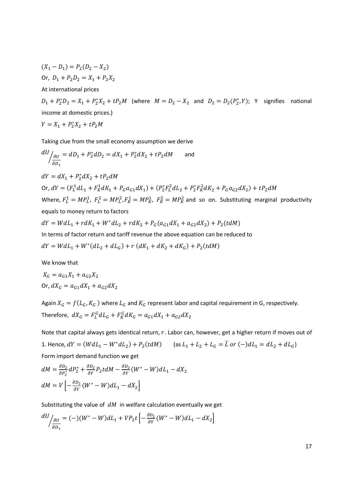$(X_1 - D_1) = P_2(D_2 - X_2)$ Or,  $D_1 + P_2 D_2 = X_1 + P_2 X_2$ At international prices

 $D_1 + P_2^* D_2 = X_1 + P_2^* X_2 + t P_2 M$  (where  $M = D_2 - X_2$  and  $D_2 = D_2(P_2^*, Y)$ ; Y signifies national income at domestic prices.)

$$
Y = X_1 + P_2^* X_2 + t P_2 M
$$

Taking clue from the small economy assumption we derive

$$
\frac{dU}{d\delta_{D_1}} = dD_1 + P_2^* dD_2 = dX_1 + P_2^* dX_2 + tP_2 dM \quad \text{and}
$$

 $dY = dX_1 + P_2^* dX_2 + tP_2 dM$ Or,  $dY = (F_L^1 dL_1 + F_R^1 dK_1 + P_G a_{G1} dX_1) + (P_2^* F_L^2 dL_2 + P_2^* F_R^2 dK_2 + P_G a_{G2} dX_2) + tP_2 dM$ Where,  $F_L^1 = MP_L^1$ ,  $F_L^2 = MP_L^2$ ,  $F_K^1 = MP_K^1$ ,  $F_K^2 = MP_K^2$  and so on. Substituting marginal productivity equals to money return to factors

$$
dY = WdL_1 + r dK_1 + W^* dL_2 + r dK_2 + P_G(a_{G1}dX_1 + a_{G2}dX_2) + P_2(t dM)
$$
  
In terms of factor return and tariff revenue the above equation can be reduced to  

$$
dY = WdL_1 + W^*(dL_2 + dL_G) + r(dK_1 + dK_2 + dK_G) + P_2(t dM)
$$

We know that

$$
X_G = a_{G1}X_1 + a_{G2}X_2
$$
  
Or, 
$$
dX_G = a_{G1}dX_1 + a_{G2}dX_2
$$

Again  $X_G = f(L_G, K_G)$  where  $L_G$  and  $K_G$  represent labor and capital requirement in G, respectively. Therefore,  $dX_G = F_L^G dL_G + F_K^G dK_G = a_{G1}dX_1 + a_{G2}dX_2$ 

Note that capital always gets identical return,  $r$ . Labor can, however, get a higher return if moves out of 1. Hence,  $dY = (WdL_1 - W^*dL_2) + P_2(tdM)$  (as  $L_1 + L_2 + L_G = \overline{L}$  or  $(-)dL_1 = dL_2 + dL_G$ ) Form import demand function we get

$$
dM = \frac{\partial D_2}{\partial P_2^*} dP_2^* + \frac{\partial D_2}{\partial Y} P_2 t dM - \frac{\partial D_2}{\partial Y} (W^* - W) dL_1 - dX_2
$$
  

$$
dM = V \left[ -\frac{\partial D_2}{\partial Y} (W^* - W) dL_1 - dX_2 \right]
$$

Substituting the value of  $dM$  in welfare calculation eventually we get

$$
\frac{dU}{d\sigma_{01}} = (-)(W^* - W)dL_1 + VP_2t \left[ -\frac{\partial D_2}{\partial Y}(W^* - W)dL_1 - dX_2 \right]
$$

17